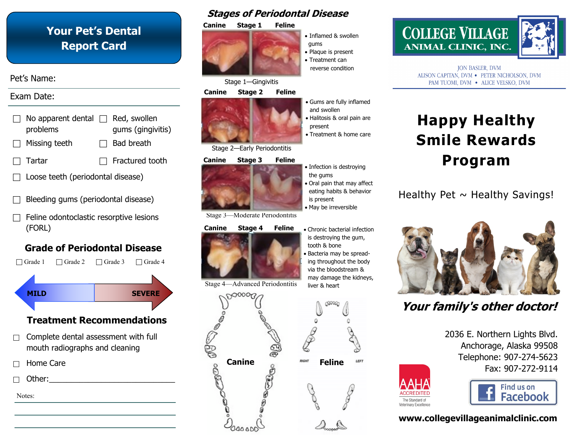### **Your Pet's Dental Report Card**

### Pet's Name:

### Exam Date:



- Loose teeth (periodontal disease)
- Bleeding gums (periodontal disease)
- Feline odontoclastic resorptive lesions (FORL)

### **Grade of Periodontal Disease**



### **Treatment Recommendations**

- $\Box$  Complete dental assessment with full mouth radiographs and cleaning
- Home Care

Other:

Notes:

### **Stages of Periodontal Disease**



Stage 1—Gingivitis

#### **Canine Stage 2 Feline**



Stage 2—Early Periodontitis

#### **Canine Stage 3 Feline**



Stage 3—Moderate Periodontitis

### **Canine Stage 4 Feline .** Chronic bacterial infection



Stage 4—Advanced Periodontitis

000000 **Canine Feline**





**ION BASLER, DVM** ALISON CAPITAN, DVM . PETER NICHOLSON, DVM PAM TUOMI, DVM . ALICE VELSKO, DVM

# **Happy Healthy Smile Rewards Program**

### Healthy Pet  $\sim$  Healthy Savings!



## **Your family's other doctor!**

2036 E. Northern Lights Blvd. Anchorage, Alaska 99508 Telephone: 907-274-5623 Fax: 907-272-9114



### **www.collegevillageanimalclinic.com**

The Standard of Veterinary Excellence

#### the gums Oral pain that may affect eating habits & behavior is present

• Infection is destroying

• Inflamed & swollen

• Plaque is present • Treatment can reverse condition

Gums are fully inflamed

Halitosis & oral pain are

Treatment & home care

and swollen

present

gums

- May be irreversible
- is destroying the gum, tooth & bone
- Bacteria may be spreading throughout the body via the bloodstream & may damage the kidneys, liver & heart